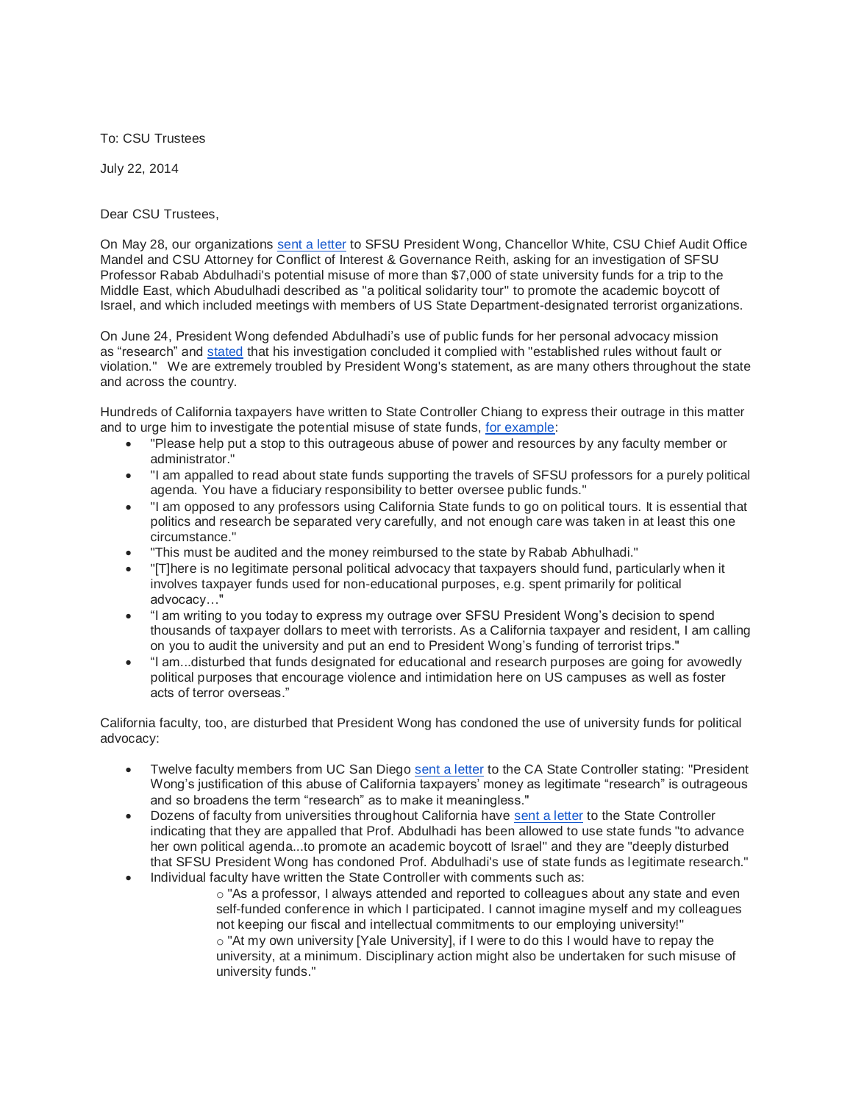To: CSU Trustees

July 22, 2014

Dear CSU Trustees,

On May 28, our organizations [sent a letter](http://www.amchainitiative.org/amcha-write-sfsu-president-leslie-wong-regarding-sfsu-professor-of-ethnic-studies-rabab-abdulhadi-egregious-misuse-of-university-and-taxpayer-funds/) to SFSU President Wong, Chancellor White, CSU Chief Audit Office Mandel and CSU Attorney for Conflict of Interest & Governance Reith, asking for an investigation of SFSU Professor Rabab Abdulhadi's potential misuse of more than \$7,000 of state university funds for a trip to the Middle East, which Abudulhadi described as "a political solidarity tour" to promote the academic boycott of Israel, and which included meetings with members of US State Department-designated terrorist organizations.

On June 24, President Wong defended Abdulhadi's use of public funds for her personal advocacy mission as "research" and [stated](http://news.sfsu.edu/news/allegations-improper-faculty-travel-investigated-no-merit-found) that his investigation concluded it complied with "established rules without fault or violation." We are extremely troubled by President Wong's statement, as are many others throughout the state and across the country.

Hundreds of California taxpayers have written to State Controller Chiang to express their outrage in this matter and to urge him to investigate the potential misuse of state funds, [for example:](http://www.amchainitiative.org/outrage-community-members-appalled-at-sfsu-defense/)

- "Please help put a stop to this outrageous abuse of power and resources by any faculty member or administrator."
- "I am appalled to read about state funds supporting the travels of SFSU professors for a purely political agenda. You have a fiduciary responsibility to better oversee public funds."
- "I am opposed to any professors using California State funds to go on political tours. It is essential that politics and research be separated very carefully, and not enough care was taken in at least this one circumstance."
- "This must be audited and the money reimbursed to the state by Rabab Abhulhadi."
- "[T]here is no legitimate personal political advocacy that taxpayers should fund, particularly when it involves taxpayer funds used for non-educational purposes, e.g. spent primarily for political advocacy…"
- "I am writing to you today to express my outrage over SFSU President Wong's decision to spend thousands of taxpayer dollars to meet with terrorists. As a California taxpayer and resident, I am calling on you to audit the university and put an end to President Wong's funding of terrorist trips."
- "I am...disturbed that funds designated for educational and research purposes are going for avowedly political purposes that encourage violence and intimidation here on US campuses as well as foster acts of terror overseas."

California faculty, too, are disturbed that President Wong has condoned the use of university funds for political advocacy:

- Twelve faculty members from UC San Diego [sent a letter](http://www.amchainitiative.org/wp-content/uploads/2014/06/12-UCSD-PROFESSORS-WRITE-CA-CONTROLLER-CHIANG-RE.pdf) to the CA State Controller stating: "President Wong's justification of this abuse of California taxpayers' money as legitimate "research" is outrageous and so broadens the term "research" as to make it meaningless."
- Dozens of faculty from universities throughout California have [sent a letter](http://www.amchainitiative.org/wp-content/uploads/2014/07/SPME-to-Controller-Chiang-July-21-2014.pdf) to the State Controller indicating that they are appalled that Prof. Abdulhadi has been allowed to use state funds "to advance her own political agenda...to promote an academic boycott of Israel" and they are "deeply disturbed that SFSU President Wong has condoned Prof. Abdulhadi's use of state funds as legitimate research."
- Individual faculty have written the State Controller with comments such as:

o "As a professor, I always attended and reported to colleagues about any state and even self-funded conference in which I participated. I cannot imagine myself and my colleagues not keeping our fiscal and intellectual commitments to our employing university!" o "At my own university [Yale University], if I were to do this I would have to repay the university, at a minimum. Disciplinary action might also be undertaken for such misuse of university funds."